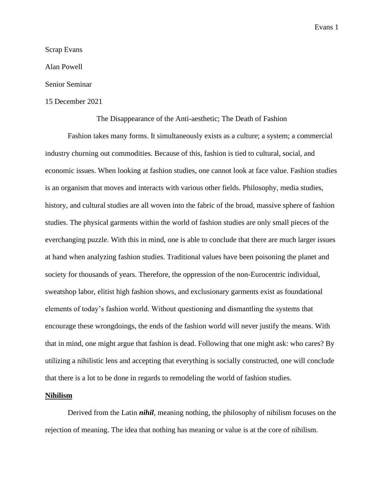## Scrap Evans

Alan Powell

### Senior Seminar

## 15 December 2021

#### The Disappearance of the Anti-aesthetic; The Death of Fashion

Fashion takes many forms. It simultaneously exists as a culture; a system; a commercial industry churning out commodities. Because of this, fashion is tied to cultural, social, and economic issues. When looking at fashion studies, one cannot look at face value. Fashion studies is an organism that moves and interacts with various other fields. Philosophy, media studies, history, and cultural studies are all woven into the fabric of the broad, massive sphere of fashion studies. The physical garments within the world of fashion studies are only small pieces of the everchanging puzzle. With this in mind, one is able to conclude that there are much larger issues at hand when analyzing fashion studies. Traditional values have been poisoning the planet and society for thousands of years. Therefore, the oppression of the non-Eurocentric individual, sweatshop labor, elitist high fashion shows, and exclusionary garments exist as foundational elements of today's fashion world. Without questioning and dismantling the systems that encourage these wrongdoings, the ends of the fashion world will never justify the means. With that in mind, one might argue that fashion is dead. Following that one might ask: who cares? By utilizing a nihilistic lens and accepting that everything is socially constructed, one will conclude that there is a lot to be done in regards to remodeling the world of fashion studies.

#### **Nihilism**

Derived from the Latin *nihil*, meaning nothing, the philosophy of nihilism focuses on the rejection of meaning. The idea that nothing has meaning or value is at the core of nihilism.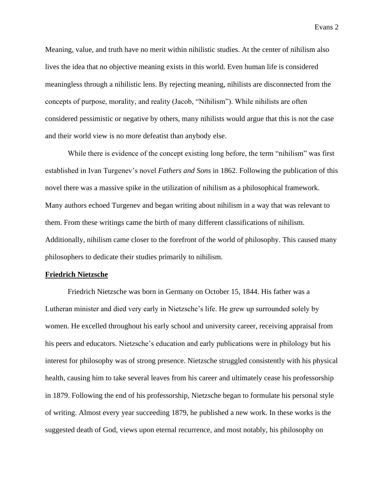Meaning, value, and truth have no merit within nihilistic studies. At the center of nihilism also lives the idea that no objective meaning exists in this world. Even human life is considered meaningless through a nihilistic lens. By rejecting meaning, nihilists are disconnected from the concepts of purpose, morality, and reality (Jacob, "Nihilism"). While nihilists are often considered pessimistic or negative by others, many nihilists would argue that this is not the case and their world view is no more defeatist than anybody else.

While there is evidence of the concept existing long before, the term "nihilism" was first established in Ivan Turgenev's novel *Fathers and Sons* in 1862. Following the publication of this novel there was a massive spike in the utilization of nihilism as a philosophical framework. Many authors echoed Turgenev and began writing about nihilism in a way that was relevant to them. From these writings came the birth of many different classifications of nihilism. Additionally, nihilism came closer to the forefront of the world of philosophy. This caused many philosophers to dedicate their studies primarily to nihilism.

#### **Friedrich Nietzsche**

Friedrich Nietzsche was born in Germany on October 15, 1844. His father was a Lutheran minister and died very early in Nietzsche's life. He grew up surrounded solely by women. He excelled throughout his early school and university career, receiving appraisal from his peers and educators. Nietzsche's education and early publications were in philology but his interest for philosophy was of strong presence. Nietzsche struggled consistently with his physical health, causing him to take several leaves from his career and ultimately cease his professorship in 1879. Following the end of his professorship, Nietzsche began to formulate his personal style of writing. Almost every year succeeding 1879, he published a new work. In these works is the suggested death of God, views upon eternal recurrence, and most notably, his philosophy on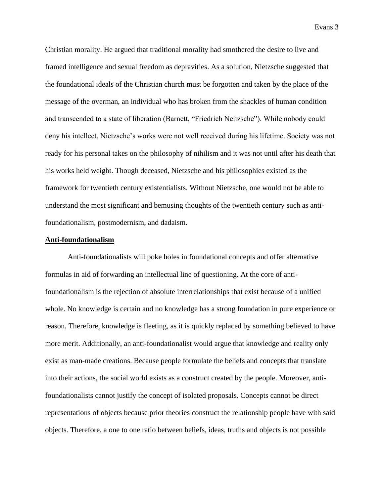Christian morality. He argued that traditional morality had smothered the desire to live and framed intelligence and sexual freedom as depravities. As a solution, Nietzsche suggested that the foundational ideals of the Christian church must be forgotten and taken by the place of the message of the overman, an individual who has broken from the shackles of human condition and transcended to a state of liberation (Barnett, "Friedrich Neitzsche"). While nobody could deny his intellect, Nietzsche's works were not well received during his lifetime. Society was not ready for his personal takes on the philosophy of nihilism and it was not until after his death that his works held weight. Though deceased, Nietzsche and his philosophies existed as the framework for twentieth century existentialists. Without Nietzsche, one would not be able to understand the most significant and bemusing thoughts of the twentieth century such as antifoundationalism, postmodernism, and dadaism.

## **Anti-foundationalism**

Anti-foundationalists will poke holes in foundational concepts and offer alternative formulas in aid of forwarding an intellectual line of questioning. At the core of antifoundationalism is the rejection of absolute interrelationships that exist because of a unified whole. No knowledge is certain and no knowledge has a strong foundation in pure experience or reason. Therefore, knowledge is fleeting, as it is quickly replaced by something believed to have more merit. Additionally, an anti-foundationalist would argue that knowledge and reality only exist as man-made creations. Because people formulate the beliefs and concepts that translate into their actions, the social world exists as a construct created by the people. Moreover, antifoundationalists cannot justify the concept of isolated proposals. Concepts cannot be direct representations of objects because prior theories construct the relationship people have with said objects. Therefore, a one to one ratio between beliefs, ideas, truths and objects is not possible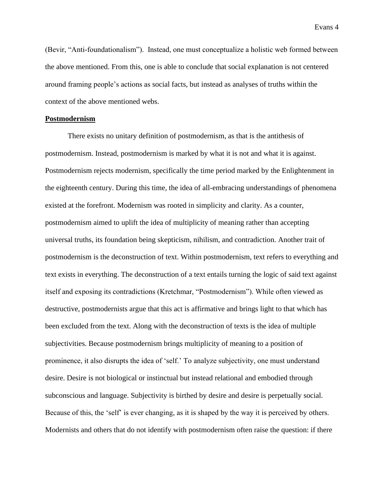(Bevir, "Anti-foundationalism"). Instead, one must conceptualize a holistic web formed between the above mentioned. From this, one is able to conclude that social explanation is not centered around framing people's actions as social facts, but instead as analyses of truths within the context of the above mentioned webs.

## **Postmodernism**

There exists no unitary definition of postmodernism, as that is the antithesis of postmodernism. Instead, postmodernism is marked by what it is not and what it is against. Postmodernism rejects modernism, specifically the time period marked by the Enlightenment in the eighteenth century. During this time, the idea of all-embracing understandings of phenomena existed at the forefront. Modernism was rooted in simplicity and clarity. As a counter, postmodernism aimed to uplift the idea of multiplicity of meaning rather than accepting universal truths, its foundation being skepticism, nihilism, and contradiction. Another trait of postmodernism is the deconstruction of text. Within postmodernism, text refers to everything and text exists in everything. The deconstruction of a text entails turning the logic of said text against itself and exposing its contradictions (Kretchmar, "Postmodernism"). While often viewed as destructive, postmodernists argue that this act is affirmative and brings light to that which has been excluded from the text. Along with the deconstruction of texts is the idea of multiple subjectivities. Because postmodernism brings multiplicity of meaning to a position of prominence, it also disrupts the idea of 'self.' To analyze subjectivity, one must understand desire. Desire is not biological or instinctual but instead relational and embodied through subconscious and language. Subjectivity is birthed by desire and desire is perpetually social. Because of this, the 'self' is ever changing, as it is shaped by the way it is perceived by others. Modernists and others that do not identify with postmodernism often raise the question: if there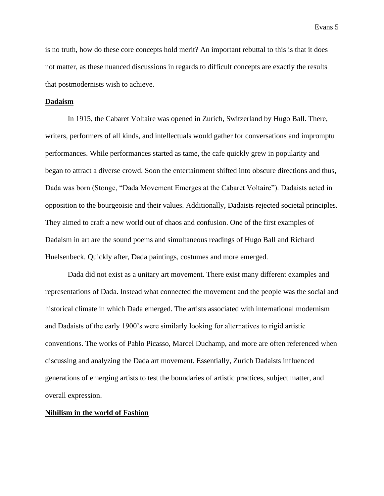is no truth, how do these core concepts hold merit? An important rebuttal to this is that it does not matter, as these nuanced discussions in regards to difficult concepts are exactly the results that postmodernists wish to achieve.

#### **Dadaism**

In 1915, the Cabaret Voltaire was opened in Zurich, Switzerland by Hugo Ball. There, writers, performers of all kinds, and intellectuals would gather for conversations and impromptu performances. While performances started as tame, the cafe quickly grew in popularity and began to attract a diverse crowd. Soon the entertainment shifted into obscure directions and thus, Dada was born (Stonge, "Dada Movement Emerges at the Cabaret Voltaire"). Dadaists acted in opposition to the bourgeoisie and their values. Additionally, Dadaists rejected societal principles. They aimed to craft a new world out of chaos and confusion. One of the first examples of Dadaism in art are the sound poems and simultaneous readings of Hugo Ball and Richard Huelsenbeck. Quickly after, Dada paintings, costumes and more emerged.

Dada did not exist as a unitary art movement. There exist many different examples and representations of Dada. Instead what connected the movement and the people was the social and historical climate in which Dada emerged. The artists associated with international modernism and Dadaists of the early 1900's were similarly looking for alternatives to rigid artistic conventions. The works of Pablo Picasso, Marcel Duchamp, and more are often referenced when discussing and analyzing the Dada art movement. Essentially, Zurich Dadaists influenced generations of emerging artists to test the boundaries of artistic practices, subject matter, and overall expression.

## **Nihilism in the world of Fashion**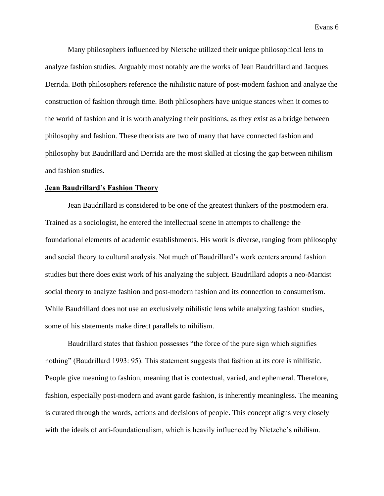Many philosophers influenced by Nietsche utilized their unique philosophical lens to analyze fashion studies. Arguably most notably are the works of Jean Baudrillard and Jacques Derrida. Both philosophers reference the nihilistic nature of post-modern fashion and analyze the construction of fashion through time. Both philosophers have unique stances when it comes to the world of fashion and it is worth analyzing their positions, as they exist as a bridge between philosophy and fashion. These theorists are two of many that have connected fashion and philosophy but Baudrillard and Derrida are the most skilled at closing the gap between nihilism and fashion studies.

#### **Jean Baudrillard's Fashion Theory**

Jean Baudrillard is considered to be one of the greatest thinkers of the postmodern era. Trained as a sociologist, he entered the intellectual scene in attempts to challenge the foundational elements of academic establishments. His work is diverse, ranging from philosophy and social theory to cultural analysis. Not much of Baudrillard's work centers around fashion studies but there does exist work of his analyzing the subject. Baudrillard adopts a neo-Marxist social theory to analyze fashion and post-modern fashion and its connection to consumerism. While Baudrillard does not use an exclusively nihilistic lens while analyzing fashion studies, some of his statements make direct parallels to nihilism.

Baudrillard states that fashion possesses "the force of the pure sign which signifies nothing" (Baudrillard 1993: 95). This statement suggests that fashion at its core is nihilistic. People give meaning to fashion, meaning that is contextual, varied, and ephemeral. Therefore, fashion, especially post-modern and avant garde fashion, is inherently meaningless. The meaning is curated through the words, actions and decisions of people. This concept aligns very closely with the ideals of anti-foundationalism, which is heavily influenced by Nietzche's nihilism.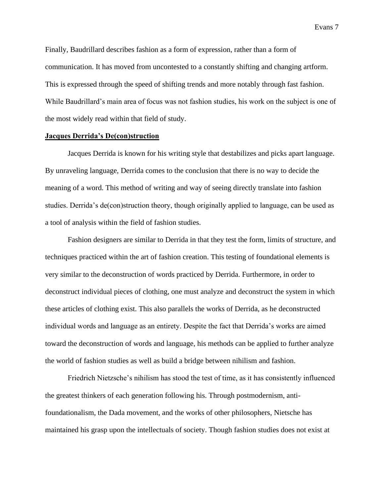Finally, Baudrillard describes fashion as a form of expression, rather than a form of communication. It has moved from uncontested to a constantly shifting and changing artform. This is expressed through the speed of shifting trends and more notably through fast fashion. While Baudrillard's main area of focus was not fashion studies, his work on the subject is one of the most widely read within that field of study.

### **Jacques Derrida's De(con)struction**

Jacques Derrida is known for his writing style that destabilizes and picks apart language. By unraveling language, Derrida comes to the conclusion that there is no way to decide the meaning of a word. This method of writing and way of seeing directly translate into fashion studies. Derrida's de(con)struction theory, though originally applied to language, can be used as a tool of analysis within the field of fashion studies.

Fashion designers are similar to Derrida in that they test the form, limits of structure, and techniques practiced within the art of fashion creation. This testing of foundational elements is very similar to the deconstruction of words practiced by Derrida. Furthermore, in order to deconstruct individual pieces of clothing, one must analyze and deconstruct the system in which these articles of clothing exist. This also parallels the works of Derrida, as he deconstructed individual words and language as an entirety. Despite the fact that Derrida's works are aimed toward the deconstruction of words and language, his methods can be applied to further analyze the world of fashion studies as well as build a bridge between nihilism and fashion.

Friedrich Nietzsche's nihilism has stood the test of time, as it has consistently influenced the greatest thinkers of each generation following his. Through postmodernism, antifoundationalism, the Dada movement, and the works of other philosophers, Nietsche has maintained his grasp upon the intellectuals of society. Though fashion studies does not exist at

Evans 7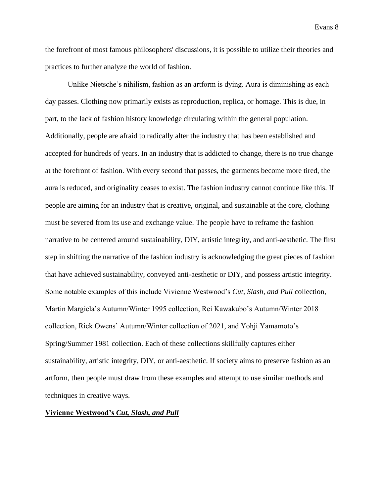the forefront of most famous philosophers' discussions, it is possible to utilize their theories and practices to further analyze the world of fashion.

Unlike Nietsche's nihilism, fashion as an artform is dying. Aura is diminishing as each day passes. Clothing now primarily exists as reproduction, replica, or homage. This is due, in part, to the lack of fashion history knowledge circulating within the general population. Additionally, people are afraid to radically alter the industry that has been established and accepted for hundreds of years. In an industry that is addicted to change, there is no true change at the forefront of fashion. With every second that passes, the garments become more tired, the aura is reduced, and originality ceases to exist. The fashion industry cannot continue like this. If people are aiming for an industry that is creative, original, and sustainable at the core, clothing must be severed from its use and exchange value. The people have to reframe the fashion narrative to be centered around sustainability, DIY, artistic integrity, and anti-aesthetic. The first step in shifting the narrative of the fashion industry is acknowledging the great pieces of fashion that have achieved sustainability, conveyed anti-aesthetic or DIY, and possess artistic integrity. Some notable examples of this include Vivienne Westwood's *Cut, Slash, and Pull* collection, Martin Margiela's Autumn/Winter 1995 collection, Rei Kawakubo's Autumn/Winter 2018 collection, Rick Owens' Autumn/Winter collection of 2021, and Yohji Yamamoto's Spring/Summer 1981 collection. Each of these collections skillfully captures either sustainability, artistic integrity, DIY, or anti-aesthetic. If society aims to preserve fashion as an artform, then people must draw from these examples and attempt to use similar methods and techniques in creative ways.

## **Vivienne Westwood's** *Cut, Slash, and Pull*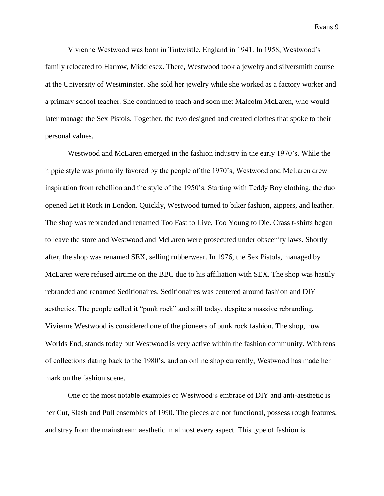Vivienne Westwood was born in Tintwistle, England in 1941. In 1958, Westwood's family relocated to Harrow, Middlesex. There, Westwood took a jewelry and silversmith course at the University of Westminster. She sold her jewelry while she worked as a factory worker and a primary school teacher. She continued to teach and soon met Malcolm McLaren, who would later manage the Sex Pistols. Together, the two designed and created clothes that spoke to their personal values.

Westwood and McLaren emerged in the fashion industry in the early 1970's. While the hippie style was primarily favored by the people of the 1970's, Westwood and McLaren drew inspiration from rebellion and the style of the 1950's. Starting with Teddy Boy clothing, the duo opened Let it Rock in London. Quickly, Westwood turned to biker fashion, zippers, and leather. The shop was rebranded and renamed Too Fast to Live, Too Young to Die. Crass t-shirts began to leave the store and Westwood and McLaren were prosecuted under obscenity laws. Shortly after, the shop was renamed SEX, selling rubberwear. In 1976, the Sex Pistols, managed by McLaren were refused airtime on the BBC due to his affiliation with SEX. The shop was hastily rebranded and renamed Seditionaires. Seditionaires was centered around fashion and DIY aesthetics. The people called it "punk rock" and still today, despite a massive rebranding, Vivienne Westwood is considered one of the pioneers of punk rock fashion. The shop, now Worlds End, stands today but Westwood is very active within the fashion community. With tens of collections dating back to the 1980's, and an online shop currently, Westwood has made her mark on the fashion scene.

One of the most notable examples of Westwood's embrace of DIY and anti-aesthetic is her Cut, Slash and Pull ensembles of 1990. The pieces are not functional, possess rough features, and stray from the mainstream aesthetic in almost every aspect. This type of fashion is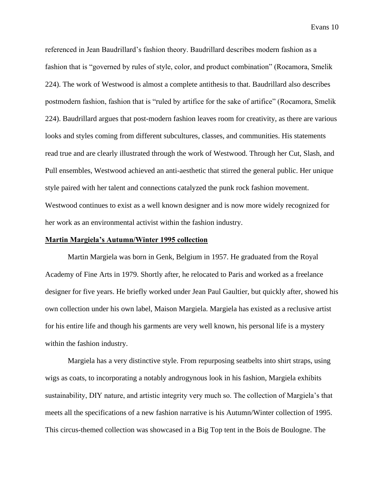referenced in Jean Baudrillard's fashion theory. Baudrillard describes modern fashion as a fashion that is "governed by rules of style, color, and product combination" (Rocamora, Smelik 224). The work of Westwood is almost a complete antithesis to that. Baudrillard also describes postmodern fashion, fashion that is "ruled by artifice for the sake of artifice" (Rocamora, Smelik 224). Baudrillard argues that post-modern fashion leaves room for creativity, as there are various looks and styles coming from different subcultures, classes, and communities. His statements read true and are clearly illustrated through the work of Westwood. Through her Cut, Slash, and Pull ensembles, Westwood achieved an anti-aesthetic that stirred the general public. Her unique style paired with her talent and connections catalyzed the punk rock fashion movement. Westwood continues to exist as a well known designer and is now more widely recognized for her work as an environmental activist within the fashion industry.

### **Martin Margiela's Autumn/Winter 1995 collection**

Martin Margiela was born in Genk, Belgium in 1957. He graduated from the Royal Academy of Fine Arts in 1979. Shortly after, he relocated to Paris and worked as a freelance designer for five years. He briefly worked under Jean Paul Gaultier, but quickly after, showed his own collection under his own label, Maison Margiela. Margiela has existed as a reclusive artist for his entire life and though his garments are very well known, his personal life is a mystery within the fashion industry.

Margiela has a very distinctive style. From repurposing seatbelts into shirt straps, using wigs as coats, to incorporating a notably androgynous look in his fashion, Margiela exhibits sustainability, DIY nature, and artistic integrity very much so. The collection of Margiela's that meets all the specifications of a new fashion narrative is his Autumn/Winter collection of 1995. This circus-themed collection was showcased in a Big Top tent in the Bois de Boulogne. The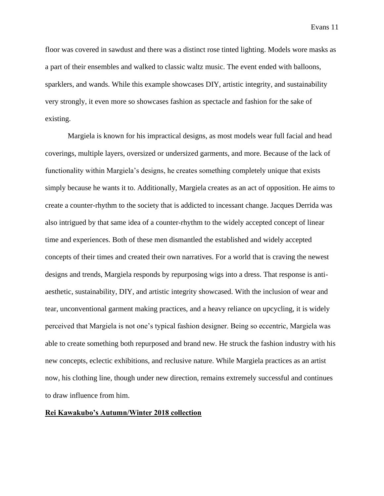floor was covered in sawdust and there was a distinct rose tinted lighting. Models wore masks as a part of their ensembles and walked to classic waltz music. The event ended with balloons, sparklers, and wands. While this example showcases DIY, artistic integrity, and sustainability very strongly, it even more so showcases fashion as spectacle and fashion for the sake of existing.

Margiela is known for his impractical designs, as most models wear full facial and head coverings, multiple layers, oversized or undersized garments, and more. Because of the lack of functionality within Margiela's designs, he creates something completely unique that exists simply because he wants it to. Additionally, Margiela creates as an act of opposition. He aims to create a counter-rhythm to the society that is addicted to incessant change. Jacques Derrida was also intrigued by that same idea of a counter-rhythm to the widely accepted concept of linear time and experiences. Both of these men dismantled the established and widely accepted concepts of their times and created their own narratives. For a world that is craving the newest designs and trends, Margiela responds by repurposing wigs into a dress. That response is antiaesthetic, sustainability, DIY, and artistic integrity showcased. With the inclusion of wear and tear, unconventional garment making practices, and a heavy reliance on upcycling, it is widely perceived that Margiela is not one's typical fashion designer. Being so eccentric, Margiela was able to create something both repurposed and brand new. He struck the fashion industry with his new concepts, eclectic exhibitions, and reclusive nature. While Margiela practices as an artist now, his clothing line, though under new direction, remains extremely successful and continues to draw influence from him.

## **Rei Kawakubo's Autumn/Winter 2018 collection**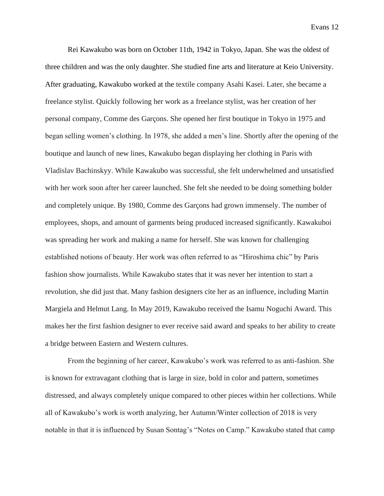Rei Kawakubo was born on October 11th, 1942 in Tokyo, Japan. She was the oldest of three children and was the only daughter. She studied fine arts and literature at Keio University. After graduating, Kawakubo worked at the textile company Asahi Kasei. Later, she became a freelance stylist. Quickly following her work as a freelance stylist, was her creation of her personal company, Comme des Garçons. She opened her first boutique in Tokyo in 1975 and began selling women's clothing. In 1978, she added a men's line. Shortly after the opening of the boutique and launch of new lines, Kawakubo began displaying her clothing in Paris with Vladislav Bachinskyy. While Kawakubo was successful, she felt underwhelmed and unsatisfied with her work soon after her career launched. She felt she needed to be doing something bolder and completely unique. By 1980, Comme des Garçons had grown immensely. The number of employees, shops, and amount of garments being produced increased significantly. Kawakuboi was spreading her work and making a name for herself. She was known for challenging established notions of beauty. Her work was often referred to as "Hiroshima chic" by Paris fashion show journalists. While Kawakubo states that it was never her intention to start a revolution, she did just that. Many fashion designers cite her as an influence, including Martin Margiela and Helmut Lang. In May 2019, Kawakubo received the Isamu Noguchi Award. This makes her the first fashion designer to ever receive said award and speaks to her ability to create a bridge between Eastern and Western cultures.

From the beginning of her career, Kawakubo's work was referred to as anti-fashion. She is known for extravagant clothing that is large in size, bold in color and pattern, sometimes distressed, and always completely unique compared to other pieces within her collections. While all of Kawakubo's work is worth analyzing, her Autumn/Winter collection of 2018 is very notable in that it is influenced by Susan Sontag's "Notes on Camp." Kawakubo stated that camp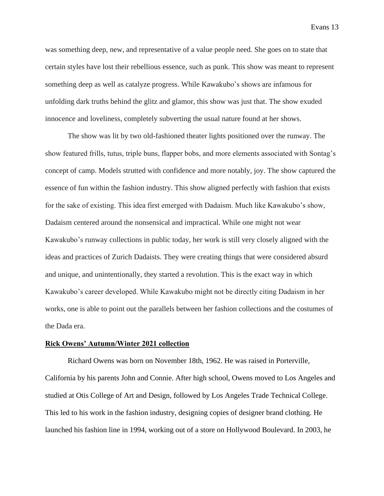was something deep, new, and representative of a value people need. She goes on to state that certain styles have lost their rebellious essence, such as punk. This show was meant to represent something deep as well as catalyze progress. While Kawakubo's shows are infamous for unfolding dark truths behind the glitz and glamor, this show was just that. The show exuded innocence and loveliness, completely subverting the usual nature found at her shows.

The show was lit by two old-fashioned theater lights positioned over the runway. The show featured frills, tutus, triple buns, flapper bobs, and more elements associated with Sontag's concept of camp. Models strutted with confidence and more notably, joy. The show captured the essence of fun within the fashion industry. This show aligned perfectly with fashion that exists for the sake of existing. This idea first emerged with Dadaism. Much like Kawakubo's show, Dadaism centered around the nonsensical and impractical. While one might not wear Kawakubo's runway collections in public today, her work is still very closely aligned with the ideas and practices of Zurich Dadaists. They were creating things that were considered absurd and unique, and unintentionally, they started a revolution. This is the exact way in which Kawakubo's career developed. While Kawakubo might not be directly citing Dadaism in her works, one is able to point out the parallels between her fashion collections and the costumes of the Dada era.

## **Rick Owens' Autumn/Winter 2021 collection**

Richard Owens was born on November 18th, 1962. He was raised in Porterville, California by his parents John and Connie. After high school, Owens moved to Los Angeles and studied at Otis College of Art and Design, followed by Los Angeles Trade Technical College. This led to his work in the fashion industry, designing copies of designer brand clothing. He launched his fashion line in 1994, working out of a store on Hollywood Boulevard. In 2003, he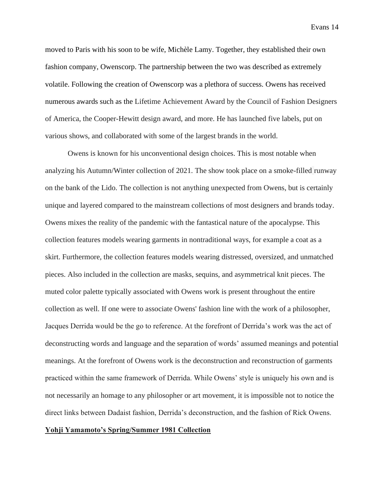moved to Paris with his soon to be wife, Michèle Lamy. Together, they established their own fashion company, Owenscorp. The partnership between the two was described as extremely volatile. Following the creation of Owenscorp was a plethora of success. Owens has received numerous awards such as the Lifetime Achievement Award by the Council of Fashion Designers of America, the Cooper-Hewitt design award, and more. He has launched five labels, put on various shows, and collaborated with some of the largest brands in the world.

Owens is known for his unconventional design choices. This is most notable when analyzing his Autumn/Winter collection of 2021. The show took place on a smoke-filled runway on the bank of the Lido. The collection is not anything unexpected from Owens, but is certainly unique and layered compared to the mainstream collections of most designers and brands today. Owens mixes the reality of the pandemic with the fantastical nature of the apocalypse. This collection features models wearing garments in nontraditional ways, for example a coat as a skirt. Furthermore, the collection features models wearing distressed, oversized, and unmatched pieces. Also included in the collection are masks, sequins, and asymmetrical knit pieces. The muted color palette typically associated with Owens work is present throughout the entire collection as well. If one were to associate Owens' fashion line with the work of a philosopher, Jacques Derrida would be the go to reference. At the forefront of Derrida's work was the act of deconstructing words and language and the separation of words' assumed meanings and potential meanings. At the forefront of Owens work is the deconstruction and reconstruction of garments practiced within the same framework of Derrida. While Owens' style is uniquely his own and is not necessarily an homage to any philosopher or art movement, it is impossible not to notice the direct links between Dadaist fashion, Derrida's deconstruction, and the fashion of Rick Owens.

## **Yohji Yamamoto's Spring/Summer 1981 Collection**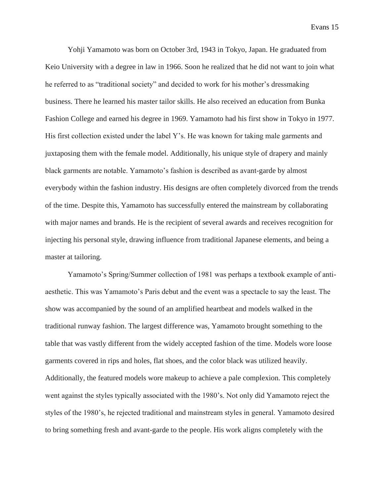Yohji Yamamoto was born on October 3rd, 1943 in Tokyo, Japan. He graduated from Keio University with a degree in law in 1966. Soon he realized that he did not want to join what he referred to as "traditional society" and decided to work for his mother's dressmaking business. There he learned his master tailor skills. He also received an education from Bunka Fashion College and earned his degree in 1969. Yamamoto had his first show in Tokyo in 1977. His first collection existed under the label Y's. He was known for taking male garments and juxtaposing them with the female model. Additionally, his unique style of drapery and mainly black garments are notable. Yamamoto's fashion is described as avant-garde by almost everybody within the fashion industry. His designs are often completely divorced from the trends of the time. Despite this, Yamamoto has successfully entered the mainstream by collaborating with major names and brands. He is the recipient of several awards and receives recognition for injecting his personal style, drawing influence from traditional Japanese elements, and being a master at tailoring.

Yamamoto's Spring/Summer collection of 1981 was perhaps a textbook example of antiaesthetic. This was Yamamoto's Paris debut and the event was a spectacle to say the least. The show was accompanied by the sound of an amplified heartbeat and models walked in the traditional runway fashion. The largest difference was, Yamamoto brought something to the table that was vastly different from the widely accepted fashion of the time. Models wore loose garments covered in rips and holes, flat shoes, and the color black was utilized heavily. Additionally, the featured models wore makeup to achieve a pale complexion. This completely went against the styles typically associated with the 1980's. Not only did Yamamoto reject the styles of the 1980's, he rejected traditional and mainstream styles in general. Yamamoto desired to bring something fresh and avant-garde to the people. His work aligns completely with the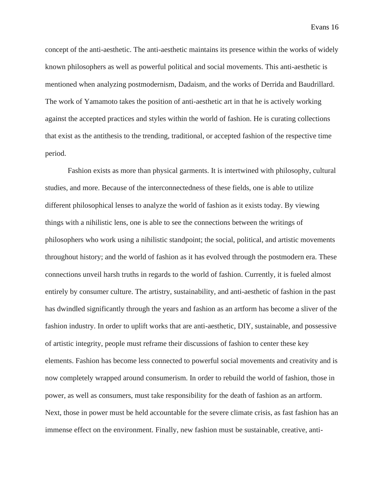concept of the anti-aesthetic. The anti-aesthetic maintains its presence within the works of widely known philosophers as well as powerful political and social movements. This anti-aesthetic is mentioned when analyzing postmodernism, Dadaism, and the works of Derrida and Baudrillard. The work of Yamamoto takes the position of anti-aesthetic art in that he is actively working against the accepted practices and styles within the world of fashion. He is curating collections that exist as the antithesis to the trending, traditional, or accepted fashion of the respective time period.

Fashion exists as more than physical garments. It is intertwined with philosophy, cultural studies, and more. Because of the interconnectedness of these fields, one is able to utilize different philosophical lenses to analyze the world of fashion as it exists today. By viewing things with a nihilistic lens, one is able to see the connections between the writings of philosophers who work using a nihilistic standpoint; the social, political, and artistic movements throughout history; and the world of fashion as it has evolved through the postmodern era. These connections unveil harsh truths in regards to the world of fashion. Currently, it is fueled almost entirely by consumer culture. The artistry, sustainability, and anti-aesthetic of fashion in the past has dwindled significantly through the years and fashion as an artform has become a sliver of the fashion industry. In order to uplift works that are anti-aesthetic, DIY, sustainable, and possessive of artistic integrity, people must reframe their discussions of fashion to center these key elements. Fashion has become less connected to powerful social movements and creativity and is now completely wrapped around consumerism. In order to rebuild the world of fashion, those in power, as well as consumers, must take responsibility for the death of fashion as an artform. Next, those in power must be held accountable for the severe climate crisis, as fast fashion has an immense effect on the environment. Finally, new fashion must be sustainable, creative, anti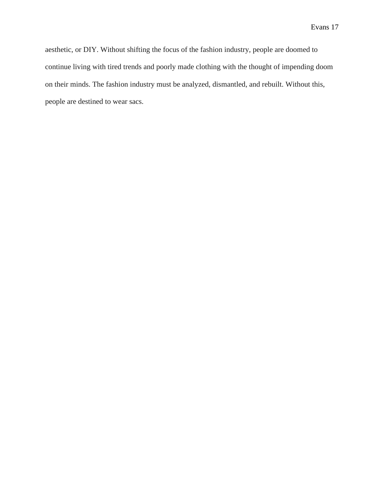aesthetic, or DIY. Without shifting the focus of the fashion industry, people are doomed to continue living with tired trends and poorly made clothing with the thought of impending doom on their minds. The fashion industry must be analyzed, dismantled, and rebuilt. Without this, people are destined to wear sacs.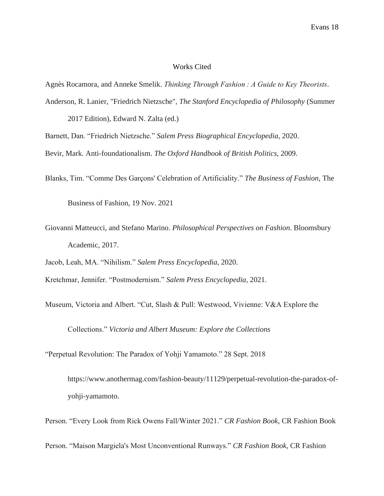# Works Cited

Agnès Rocamora, and Anneke Smelik. *Thinking Through Fashion : A Guide to Key Theorists*.

- Anderson, R. Lanier, "Friedrich Nietzsche", *The Stanford Encyclopedia of Philosophy* (Summer 2017 Edition), Edward N. Zalta (ed.)
- Barnett, Dan. "Friedrich Nietzsche." *Salem Press Biographical Encyclopedia*, 2020.
- Bevir, Mark. Anti-foundationalism. *The Oxford Handbook of British Politics*, 2009.
- Blanks, Tim. "Comme Des Garçons' Celebration of Artificiality." *The Business of Fashion*, The

Business of Fashion, 19 Nov. 2021

Giovanni Matteucci, and Stefano Marino. *Philosophical Perspectives on Fashion*. Bloomsbury Academic, 2017.

Jacob, Leah, MA. "Nihilism." *Salem Press Encyclopedia*, 2020.

Kretchmar, Jennifer. "Postmodernism." *Salem Press Encyclopedia*, 2021.

Museum, Victoria and Albert. "Cut, Slash & Pull: Westwood, Vivienne: V&A Explore the

Collections." *Victoria and Albert Museum: Explore the Collections*

"Perpetual Revolution: The Paradox of Yohji Yamamoto." 28 Sept. 2018

https://www.anothermag.com/fashion-beauty/11129/perpetual-revolution-the-paradox-ofyohji-yamamoto.

Person. "Every Look from Rick Owens Fall/Winter 2021." *CR Fashion Book*, CR Fashion Book

Person. "Maison Margiela's Most Unconventional Runways." *CR Fashion Book*, CR Fashion